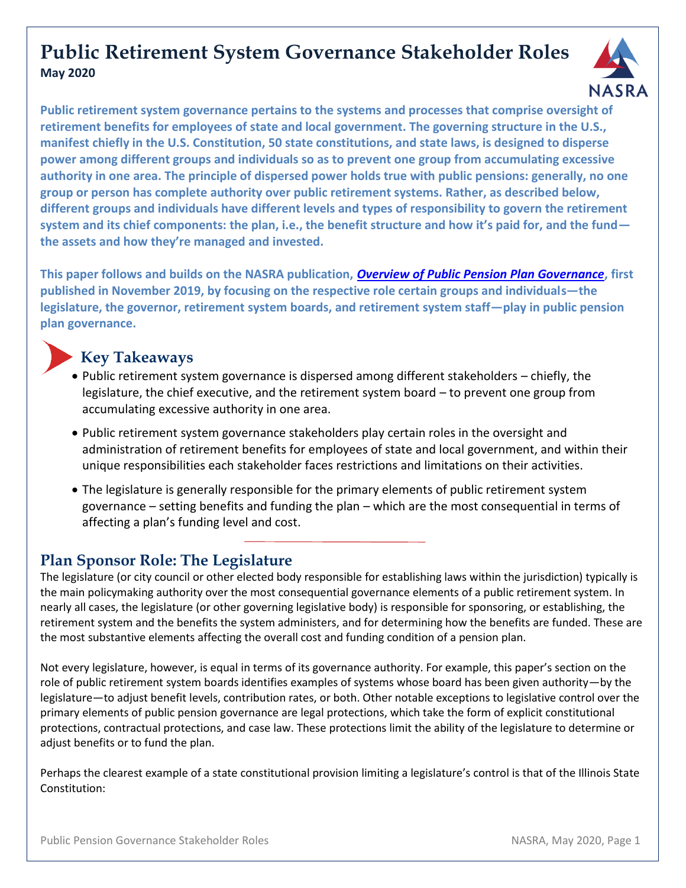# **Public Retirement System Governance Stakeholder Roles May 2020**



**Public retirement system governance pertains to the systems and processes that comprise oversight of retirement benefits for employees of state and local government. The governing structure in the U.S., manifest chiefly in the U.S. Constitution, 50 state constitutions, and state laws, is designed to disperse power among different groups and individuals so as to prevent one group from accumulating excessive authority in one area. The principle of dispersed power holds true with public pensions: generally, no one group or person has complete authority over public retirement systems. Rather, as described below, different groups and individuals have different levels and types of responsibility to govern the retirement system and its chief components: the plan, i.e., the benefit structure and how it's paid for, and the fund the assets and how they're managed and invested.**

**This paper follows and builds on the NASRA publication,** *[Overview of Public Pension Plan Governance](https://www.nasra.org/governanceoverview)***, first published in November 2019, by focusing on the respective role certain groups and individuals—the legislature, the governor, retirement system boards, and retirement system staff—play in public pension plan governance.**

# **Key Takeaways**

- Public retirement system governance is dispersed among different stakeholders chiefly, the legislature, the chief executive, and the retirement system board – to prevent one group from accumulating excessive authority in one area.
- Public retirement system governance stakeholders play certain roles in the oversight and administration of retirement benefits for employees of state and local government, and within their unique responsibilities each stakeholder faces restrictions and limitations on their activities.
- The legislature is generally responsible for the primary elements of public retirement system governance – setting benefits and funding the plan – which are the most consequential in terms of affecting a plan's funding level and cost.

# **Plan Sponsor Role: The Legislature**

The legislature (or city council or other elected body responsible for establishing laws within the jurisdiction) typically is the main policymaking authority over the most consequential governance elements of a public retirement system. In nearly all cases, the legislature (or other governing legislative body) is responsible for sponsoring, or establishing, the retirement system and the benefits the system administers, and for determining how the benefits are funded. These are the most substantive elements affecting the overall cost and funding condition of a pension plan.

Not every legislature, however, is equal in terms of its governance authority. For example, this paper's section on the role of public retirement system boards identifies examples of systems whose board has been given authority—by the legislature—to adjust benefit levels, contribution rates, or both. Other notable exceptions to legislative control over the primary elements of public pension governance are legal protections, which take the form of explicit constitutional protections, contractual protections, and case law. These protections limit the ability of the legislature to determine or adjust benefits or to fund the plan.

Perhaps the clearest example of a state constitutional provision limiting a legislature's control is that of the Illinois State Constitution: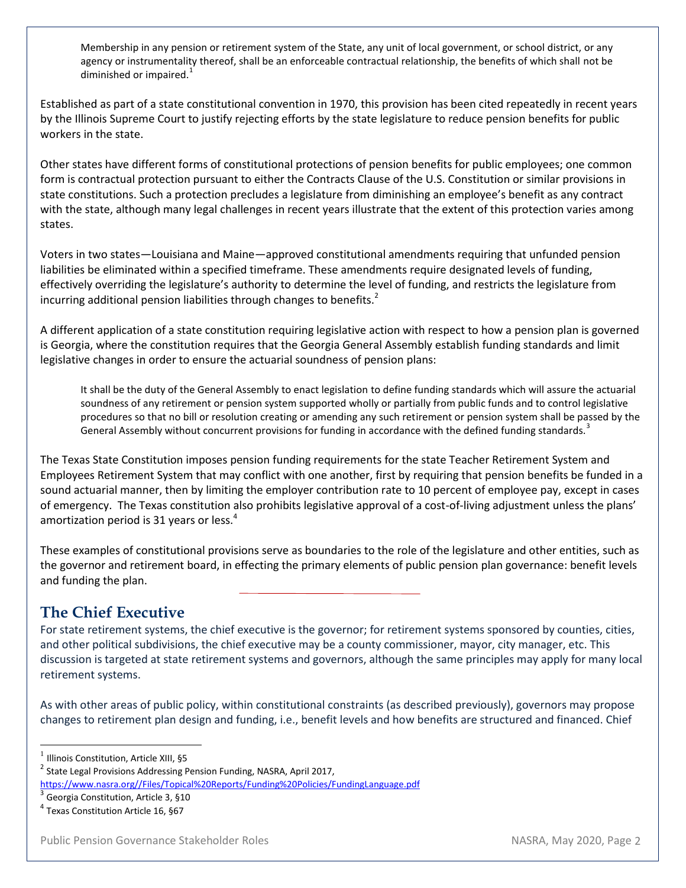Membership in any pension or retirement system of the State, any unit of local government, or school district, or any agency or instrumentality thereof, shall be an enforceable contractual relationship, the benefits of which shall not be diminished or impaired. $1$ 

Established as part of a state constitutional convention in 1970, this provision has been cited repeatedly in recent years by the Illinois Supreme Court to justify rejecting efforts by the state legislature to reduce pension benefits for public workers in the state.

Other states have different forms of constitutional protections of pension benefits for public employees; one common form is contractual protection pursuant to either the Contracts Clause of the U.S. Constitution or similar provisions in state constitutions. Such a protection precludes a legislature from diminishing an employee's benefit as any contract with the state, although many legal challenges in recent years illustrate that the extent of this protection varies among states.

Voters in two states—Louisiana and Maine—approved constitutional amendments requiring that unfunded pension liabilities be eliminated within a specified timeframe. These amendments require designated levels of funding, effectively overriding the legislature's authority to determine the level of funding, and restricts the legislature from incurring additional pension liabilities through changes to benefits.<sup>2</sup>

A different application of a state constitution requiring legislative action with respect to how a pension plan is governed is Georgia, where the constitution requires that the Georgia General Assembly establish funding standards and limit legislative changes in order to ensure the actuarial soundness of pension plans:

It shall be the duty of the General Assembly to enact legislation to define funding standards which will assure the actuarial soundness of any retirement or pension system supported wholly or partially from public funds and to control legislative procedures so that no bill or resolution creating or amending any such retirement or pension system shall be passed by the General Assembly without concurrent provisions for funding in accordance with the defined funding standards.<sup>3</sup>

The Texas State Constitution imposes pension funding requirements for the state Teacher Retirement System and Employees Retirement System that may conflict with one another, first by requiring that pension benefits be funded in a sound actuarial manner, then by limiting the employer contribution rate to 10 percent of employee pay, except in cases of emergency. The Texas constitution also prohibits legislative approval of a cost-of-living adjustment unless the plans' amortization period is 31 years or less.<sup>4</sup>

These examples of constitutional provisions serve as boundaries to the role of the legislature and other entities, such as the governor and retirement board, in effecting the primary elements of public pension plan governance: benefit levels and funding the plan.

# **The Chief Executive**

For state retirement systems, the chief executive is the governor; for retirement systems sponsored by counties, cities, and other political subdivisions, the chief executive may be a county commissioner, mayor, city manager, etc. This discussion is targeted at state retirement systems and governors, although the same principles may apply for many local retirement systems.

As with other areas of public policy, within constitutional constraints (as described previously), governors may propose changes to retirement plan design and funding, i.e., benefit levels and how benefits are structured and financed. Chief

1 Illinois Constitution, Article XIII, §5

 $\overline{\phantom{a}}$ 

<sup>2</sup> State Legal Provisions Addressing Pension Funding, NASRA, April 2017,

[https://www.nasra.org//Files/Topical%20Reports/Funding%20Policies/FundingLanguage.pdf](https://www.nasra.org/Files/Topical%20Reports/Funding%20Policies/FundingLanguage.pdf)

 $^3$  Georgia Constitution, Article 3, §10

<sup>4</sup> Texas Constitution Article 16, §67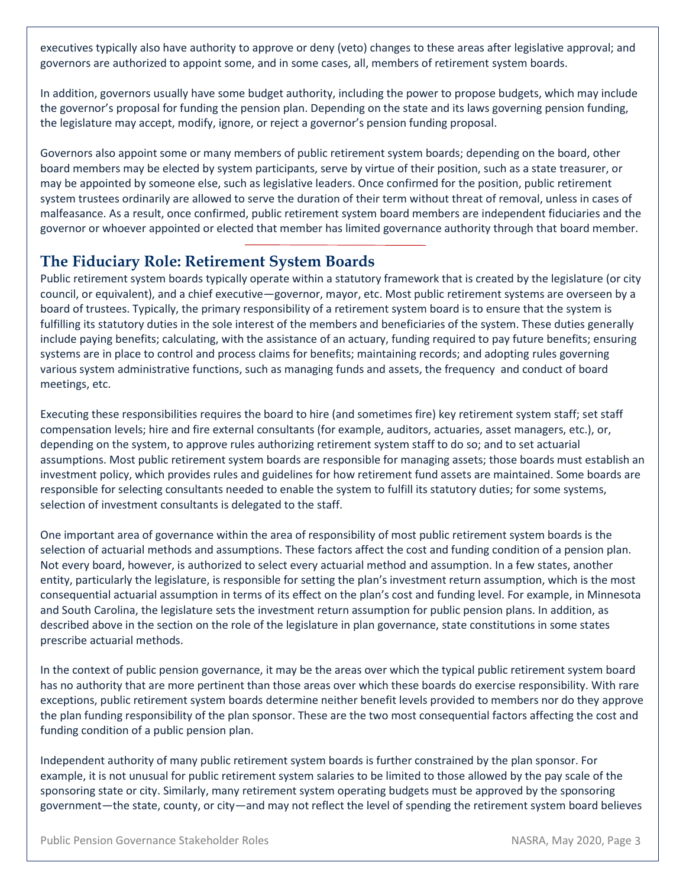executives typically also have authority to approve or deny (veto) changes to these areas after legislative approval; and governors are authorized to appoint some, and in some cases, all, members of retirement system boards.

In addition, governors usually have some budget authority, including the power to propose budgets, which may include the governor's proposal for funding the pension plan. Depending on the state and its laws governing pension funding, the legislature may accept, modify, ignore, or reject a governor's pension funding proposal.

Governors also appoint some or many members of public retirement system boards; depending on the board, other board members may be elected by system participants, serve by virtue of their position, such as a state treasurer, or may be appointed by someone else, such as legislative leaders. Once confirmed for the position, public retirement system trustees ordinarily are allowed to serve the duration of their term without threat of removal, unless in cases of malfeasance. As a result, once confirmed, public retirement system board members are independent fiduciaries and the governor or whoever appointed or elected that member has limited governance authority through that board member.

### **The Fiduciary Role: Retirement System Boards**

Public retirement system boards typically operate within a statutory framework that is created by the legislature (or city council, or equivalent), and a chief executive—governor, mayor, etc. Most public retirement systems are overseen by a board of trustees. Typically, the primary responsibility of a retirement system board is to ensure that the system is fulfilling its statutory duties in the sole interest of the members and beneficiaries of the system. These duties generally include paying benefits; calculating, with the assistance of an actuary, funding required to pay future benefits; ensuring systems are in place to control and process claims for benefits; maintaining records; and adopting rules governing various system administrative functions, such as managing funds and assets, the frequency and conduct of board meetings, etc.

Executing these responsibilities requires the board to hire (and sometimes fire) key retirement system staff; set staff compensation levels; hire and fire external consultants (for example, auditors, actuaries, asset managers, etc.), or, depending on the system, to approve rules authorizing retirement system staff to do so; and to set actuarial assumptions. Most public retirement system boards are responsible for managing assets; those boards must establish an investment policy, which provides rules and guidelines for how retirement fund assets are maintained. Some boards are responsible for selecting consultants needed to enable the system to fulfill its statutory duties; for some systems, selection of investment consultants is delegated to the staff.

One important area of governance within the area of responsibility of most public retirement system boards is the selection of actuarial methods and assumptions. These factors affect the cost and funding condition of a pension plan. Not every board, however, is authorized to select every actuarial method and assumption. In a few states, another entity, particularly the legislature, is responsible for setting the plan's investment return assumption, which is the most consequential actuarial assumption in terms of its effect on the plan's cost and funding level. For example, in Minnesota and South Carolina, the legislature sets the investment return assumption for public pension plans. In addition, as described above in the section on the role of the legislature in plan governance, state constitutions in some states prescribe actuarial methods.

In the context of public pension governance, it may be the areas over which the typical public retirement system board has no authority that are more pertinent than those areas over which these boards do exercise responsibility. With rare exceptions, public retirement system boards determine neither benefit levels provided to members nor do they approve the plan funding responsibility of the plan sponsor. These are the two most consequential factors affecting the cost and funding condition of a public pension plan.

Independent authority of many public retirement system boards is further constrained by the plan sponsor. For example, it is not unusual for public retirement system salaries to be limited to those allowed by the pay scale of the sponsoring state or city. Similarly, many retirement system operating budgets must be approved by the sponsoring government—the state, county, or city—and may not reflect the level of spending the retirement system board believes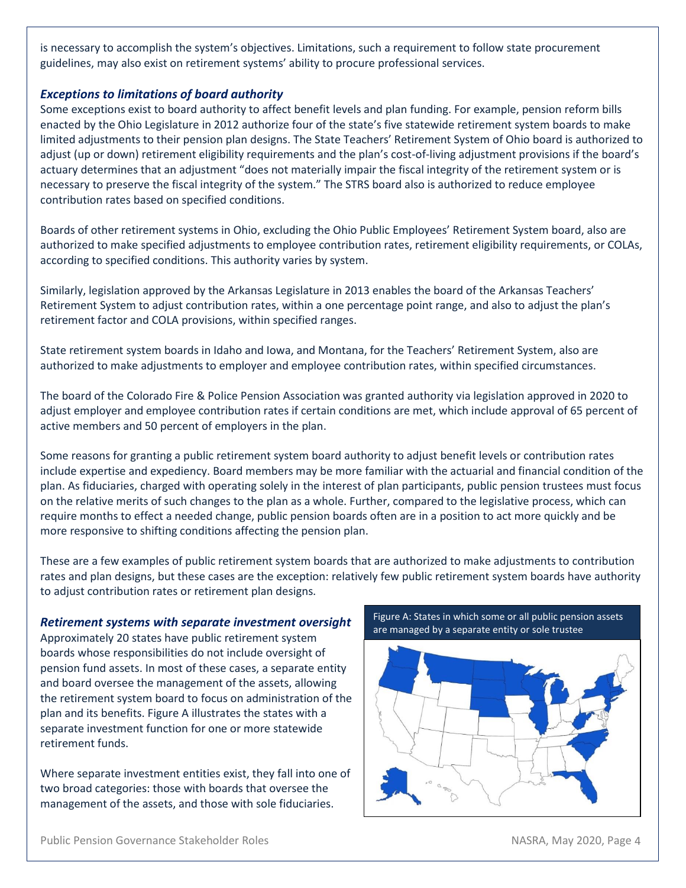is necessary to accomplish the system's objectives. Limitations, such a requirement to follow state procurement guidelines, may also exist on retirement systems' ability to procure professional services.

#### *Exceptions to limitations of board authority*

Some exceptions exist to board authority to affect benefit levels and plan funding. For example, pension reform bills enacted by the Ohio Legislature in 2012 authorize four of the state's five statewide retirement system boards to make limited adjustments to their pension plan designs. The State Teachers' Retirement System of Ohio board is authorized to adjust (up or down) retirement eligibility requirements and the plan's cost-of-living adjustment provisions if the board's actuary determines that an adjustment "does not materially impair the fiscal integrity of the retirement system or is necessary to preserve the fiscal integrity of the system." The STRS board also is authorized to reduce employee contribution rates based on specified conditions.

Boards of other retirement systems in Ohio, excluding the Ohio Public Employees' Retirement System board, also are authorized to make specified adjustments to employee contribution rates, retirement eligibility requirements, or COLAs, according to specified conditions. This authority varies by system.

Similarly, legislation approved by the Arkansas Legislature in 2013 enables the board of the Arkansas Teachers' Retirement System to adjust contribution rates, within a one percentage point range, and also to adjust the plan's retirement factor and COLA provisions, within specified ranges.

State retirement system boards in Idaho and Iowa, and Montana, for the Teachers' Retirement System, also are authorized to make adjustments to employer and employee contribution rates, within specified circumstances.

The board of the Colorado Fire & Police Pension Association was granted authority via legislation approved in 2020 to adjust employer and employee contribution rates if certain conditions are met, which include approval of 65 percent of active members and 50 percent of employers in the plan.

Some reasons for granting a public retirement system board authority to adjust benefit levels or contribution rates include expertise and expediency. Board members may be more familiar with the actuarial and financial condition of the plan. As fiduciaries, charged with operating solely in the interest of plan participants, public pension trustees must focus on the relative merits of such changes to the plan as a whole. Further, compared to the legislative process, which can require months to effect a needed change, public pension boards often are in a position to act more quickly and be more responsive to shifting conditions affecting the pension plan.

These are a few examples of public retirement system boards that are authorized to make adjustments to contribution rates and plan designs, but these cases are the exception: relatively few public retirement system boards have authority to adjust contribution rates or retirement plan designs.

#### *Retirement systems with separate investment oversight*

Approximately 20 states have public retirement system boards whose responsibilities do not include oversight of pension fund assets. In most of these cases, a separate entity and board oversee the management of the assets, allowing the retirement system board to focus on administration of the plan and its benefits. Figure A illustrates the states with a separate investment function for one or more statewide retirement funds.

Where separate investment entities exist, they fall into one of two broad categories: those with boards that oversee the management of the assets, and those with sole fiduciaries.